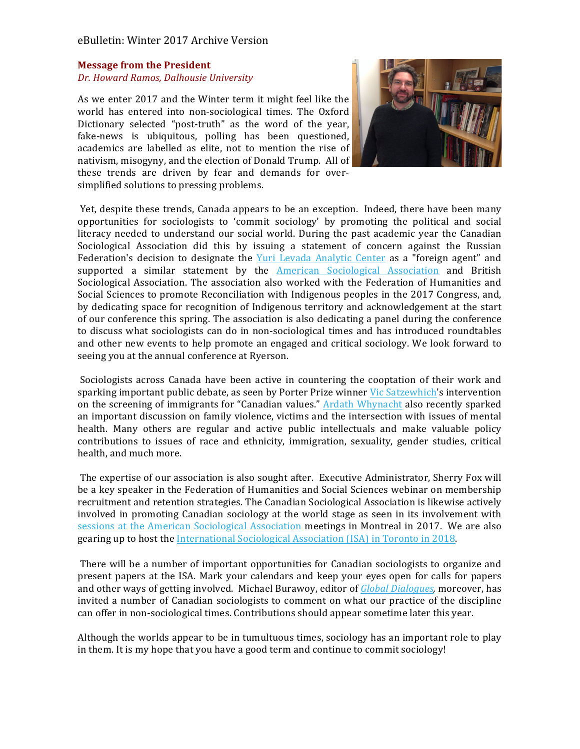## eBulletin: Winter 2017 Archive Version

#### **Message from the President**

#### *Dr. Howard Ramos, Dalhousie University*

As we enter 2017 and the Winter term it might feel like the world has entered into non-sociological times. The Oxford Dictionary selected "post-truth" as the word of the year, fake-news is ubiquitous, polling has been questioned, academics are labelled as elite, not to mention the rise of nativism, misogyny, and the election of Donald Trump. All of these trends are driven by fear and demands for oversimplified solutions to pressing problems.



Yet, despite these trends, Canada appears to be an exception. Indeed, there have been many opportunities for sociologists to 'commit sociology' by promoting the political and social literacy needed to understand our social world. During the past academic year the Canadian Sociological Association did this by issuing a statement of concern against the Russian Federation's decision to designate the Yuri Levada Analytic Center as a "foreign agent" and supported a similar statement by the **American Sociological Association** and British Sociological Association. The association also worked with the Federation of Humanities and Social Sciences to promote Reconciliation with Indigenous peoples in the 2017 Congress, and, by dedicating space for recognition of Indigenous territory and acknowledgement at the start of our conference this spring. The association is also dedicating a panel during the conference to discuss what sociologists can do in non-sociological times and has introduced roundtables and other new events to help promote an engaged and critical sociology. We look forward to seeing you at the annual conference at Ryerson.

Sociologists across Canada have been active in countering the cooptation of their work and sparking important public debate, as seen by Porter Prize winner Vic Satzewhich's intervention on the screening of immigrants for "Canadian values." Ardath Whynacht also recently sparked an important discussion on family violence, victims and the intersection with issues of mental health. Many others are regular and active public intellectuals and make valuable policy contributions to issues of race and ethnicity, immigration, sexuality, gender studies, critical health, and much more.

The expertise of our association is also sought after. Executive Administrator, Sherry Fox will be a key speaker in the Federation of Humanities and Social Sciences webinar on membership recruitment and retention strategies. The Canadian Sociological Association is likewise actively involved in promoting Canadian sociology at the world stage as seen in its involvement with sessions at the American Sociological Association meetings in Montreal in 2017. We are also gearing up to host the International Sociological Association (ISA) in Toronto in 2018.

There will be a number of important opportunities for Canadian sociologists to organize and present papers at the ISA. Mark your calendars and keep your eyes open for calls for papers and other ways of getting involved. Michael Burawoy, editor of *Global Dialogues*, moreover, has invited a number of Canadian sociologists to comment on what our practice of the discipline can offer in non-sociological times. Contributions should appear sometime later this year.

Although the worlds appear to be in tumultuous times, sociology has an important role to play in them. It is my hope that you have a good term and continue to commit sociology!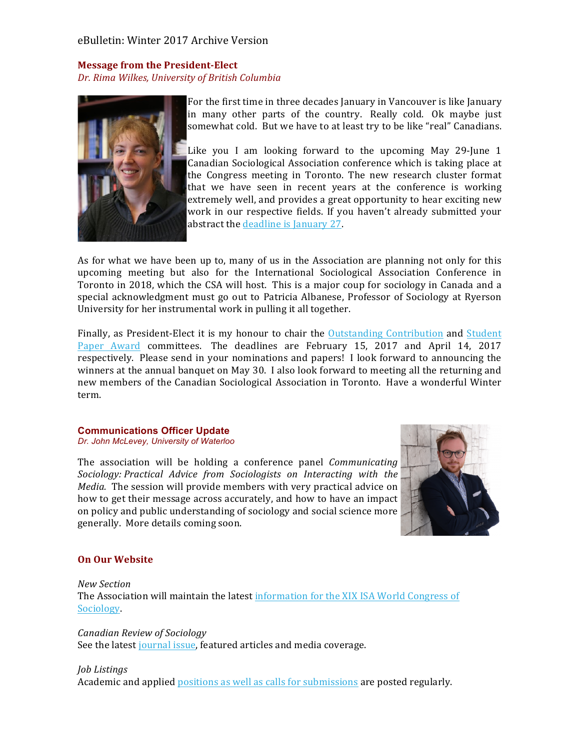# eBulletin: Winter 2017 Archive Version

# **Message from the President-Elect** *Dr. Rima Wilkes, University of British Columbia*



For the first time in three decades January in Vancouver is like January in many other parts of the country. Really cold. Ok maybe just somewhat cold. But we have to at least try to be like "real" Canadians.

Like you I am looking forward to the upcoming May 29-June  $1$ Canadian Sociological Association conference which is taking place at the Congress meeting in Toronto. The new research cluster format that we have seen in recent years at the conference is working extremely well, and provides a great opportunity to hear exciting new work in our respective fields. If you haven't already submitted your abstract the deadline is January 27.

As for what we have been up to, many of us in the Association are planning not only for this upcoming meeting but also for the International Sociological Association Conference in Toronto in 2018, which the CSA will host. This is a major coup for sociology in Canada and a special acknowledgment must go out to Patricia Albanese, Professor of Sociology at Ryerson University for her instrumental work in pulling it all together.

Finally, as President-Elect it is my honour to chair the Outstanding Contribution and Student Paper Award committees. The deadlines are February 15, 2017 and April 14, 2017 respectively. Please send in your nominations and papers! I look forward to announcing the winners at the annual banquet on May 30. I also look forward to meeting all the returning and new members of the Canadian Sociological Association in Toronto. Have a wonderful Winter term.

#### **Communications Officer Update** *Dr. John McLevey, University of Waterloo*

The association will be holding a conference panel *Communicating Sociology: Practical Advice from Sociologists on Interacting with the Media*. The session will provide members with very practical advice on how to get their message across accurately, and how to have an impact on policy and public understanding of sociology and social science more generally. More details coming soon.



## **On Our Website**

*New Section* The Association will maintain the latest information for the XIX ISA World Congress of Sociology.

#### *Canadian Review of Sociology*

See the latest journal issue, featured articles and media coverage.

#### *Job Listings*

Academic and applied positions as well as calls for submissions are posted regularly.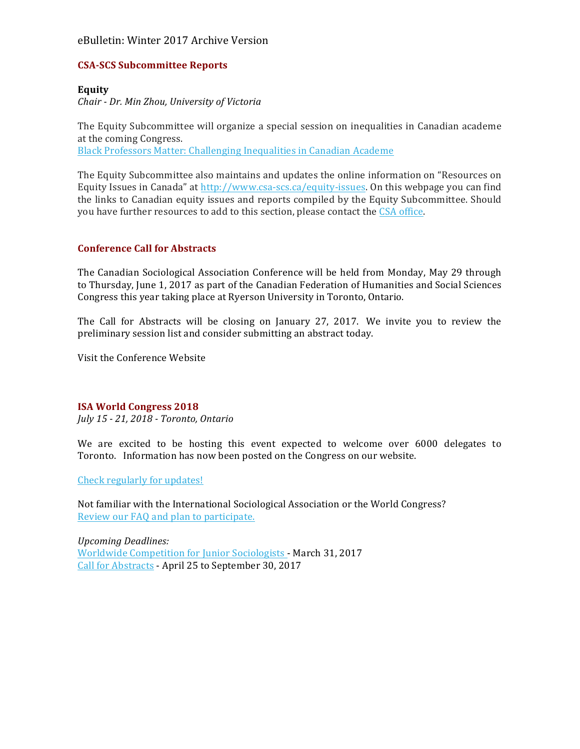# eBulletin: Winter 2017 Archive Version

# **CSA-SCS Subcommittee Reports**

### **Equity**

*Chair - Dr. Min Zhou, University of Victoria*

The Equity Subcommittee will organize a special session on inequalities in Canadian academe at the coming Congress. Black Professors Matter: Challenging Inequalities in Canadian Academe

The Equity Subcommittee also maintains and updates the online information on "Resources on Equity Issues in Canada" at http://www.csa-scs.ca/equity-issues. On this webpage you can find the links to Canadian equity issues and reports compiled by the Equity Subcommittee. Should you have further resources to add to this section, please contact the CSA office.

### **Conference Call for Abstracts**

The Canadian Sociological Association Conference will be held from Monday, May 29 through to Thursday, June 1, 2017 as part of the Canadian Federation of Humanities and Social Sciences Congress this year taking place at Ryerson University in Toronto, Ontario.

The Call for Abstracts will be closing on January 27, 2017. We invite you to review the preliminary session list and consider submitting an abstract today.

Visit the Conference Website

## **ISA World Congress 2018**

*July 15 - 21, 2018 - Toronto, Ontario*

We are excited to be hosting this event expected to welcome over 6000 delegates to Toronto. Information has now been posted on the Congress on our website.

Check regularly for updates!

Not familiar with the International Sociological Association or the World Congress? Review our FAQ and plan to participate.

*Upcoming Deadlines:* Worldwide Competition for Junior Sociologists - March 31, 2017 Call for Abstracts - April 25 to September 30, 2017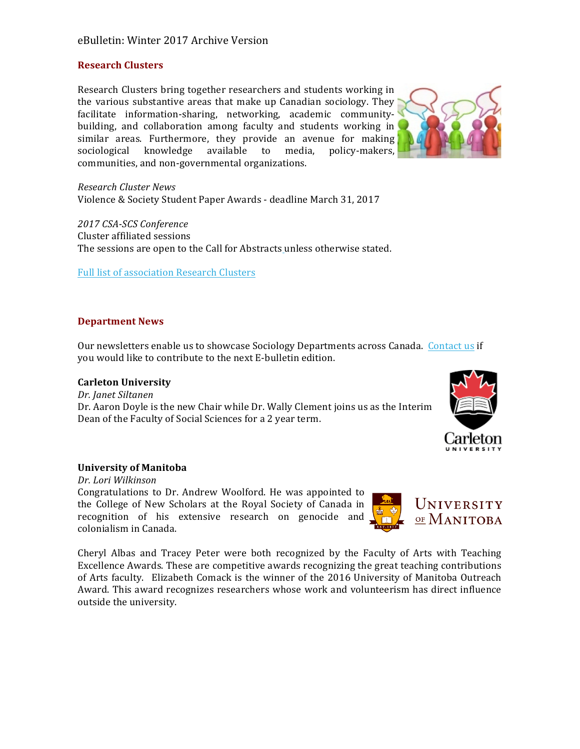# eBulletin: Winter 2017 Archive Version

#### **Research Clusters**

Research Clusters bring together researchers and students working in the various substantive areas that make up Canadian sociology. They facilitate information-sharing, networking, academic communitybuilding, and collaboration among faculty and students working in similar areas. Furthermore, they provide an avenue for making sociological knowledge available to media, policy-makers, communities, and non-governmental organizations.



*Research Cluster News* Violence & Society Student Paper Awards - deadline March 31, 2017

*2017 CSA-SCS Conference* Cluster affiliated sessions The sessions are open to the Call for Abstracts unless otherwise stated.

Full list of association Research Clusters

### **Department News**

Our newsletters enable us to showcase Sociology Departments across Canada. Contact us if you would like to contribute to the next E-bulletin edition.

#### **Carleton University**

*Dr. Janet Siltanen*  Dr. Aaron Doyle is the new Chair while Dr. Wally Clement joins us as the Interim Dean of the Faculty of Social Sciences for a 2 year term.



#### **University of Manitoba**

*Dr. Lori Wilkinson*  Congratulations to Dr. Andrew Woolford. He was appointed to the College of New Scholars at the Royal Society of Canada in recognition of his extensive research on genocide and colonialism in Canada.



Cheryl Albas and Tracey Peter were both recognized by the Faculty of Arts with Teaching Excellence Awards. These are competitive awards recognizing the great teaching contributions of Arts faculty. Elizabeth Comack is the winner of the 2016 University of Manitoba Outreach Award. This award recognizes researchers whose work and volunteerism has direct influence outside the university.